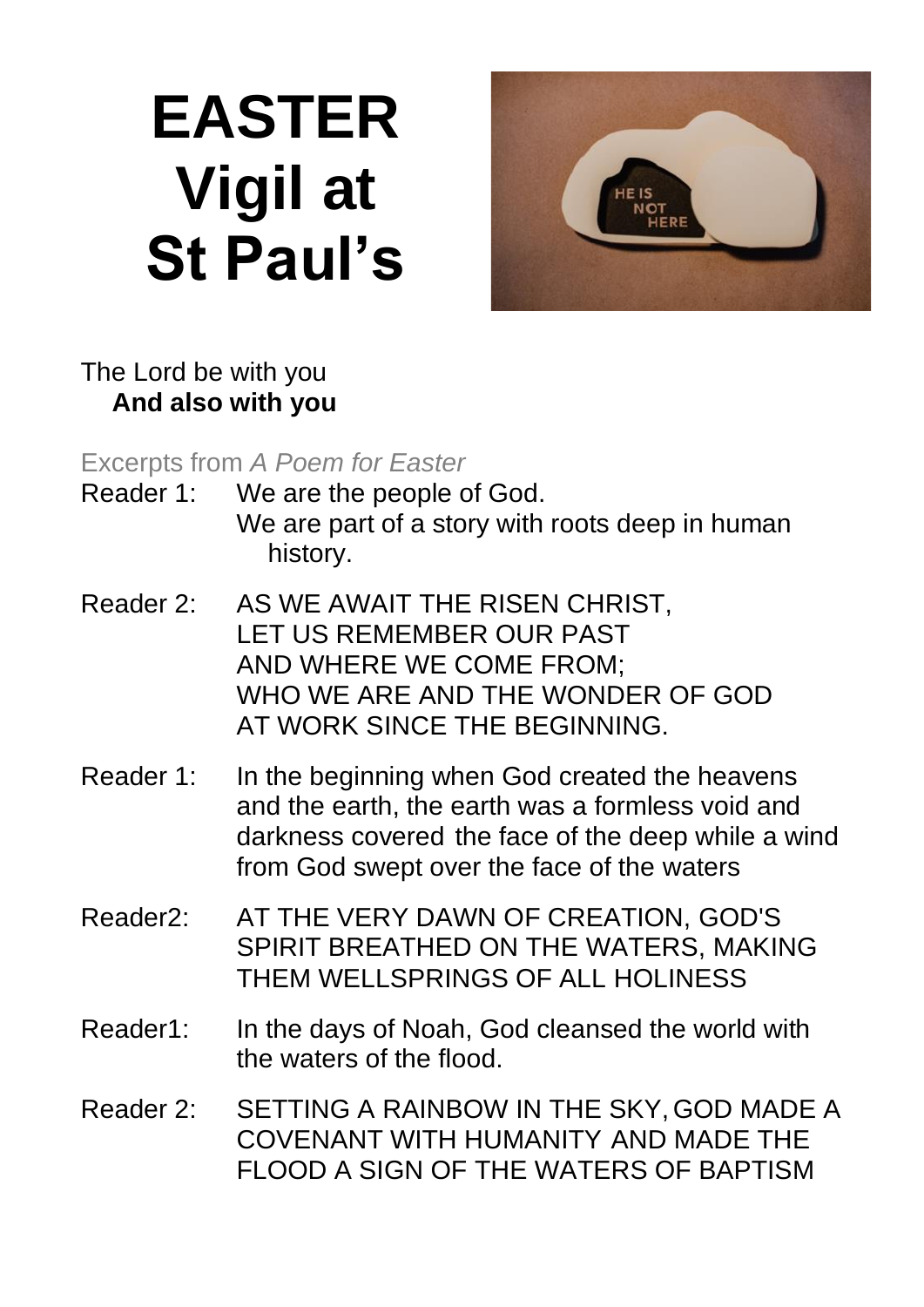# **EASTER Vigil at St Paul's**



### The Lord be with you **And also with you**

Excerpts from *A Poem for Easter*

- Reader 1: We are the people of God. We are part of a story with roots deep in human history.
- Reader 2: AS WE AWAIT THE RISEN CHRIST, LET US REMEMBER OUR PAST AND WHERE WE COME FROM; WHO WE ARE AND THE WONDER OF GOD AT WORK SINCE THE BEGINNING.
- Reader 1: In the beginning when God created the heavens and the earth, the earth was a formless void and darkness covered the face of the deep while a wind from God swept over the face of the waters
- Reader2: AT THE VERY DAWN OF CREATION, GOD'S SPIRIT BREATHED ON THE WATERS, MAKING THEM WELLSPRINGS OF ALL HOLINESS
- Reader1: In the days of Noah, God cleansed the world with the waters of the flood.
- Reader 2: SETTING A RAINBOW IN THE SKY,GOD MADE A COVENANT WITH HUMANITY AND MADE THE FLOOD A SIGN OF THE WATERS OF BAPTISM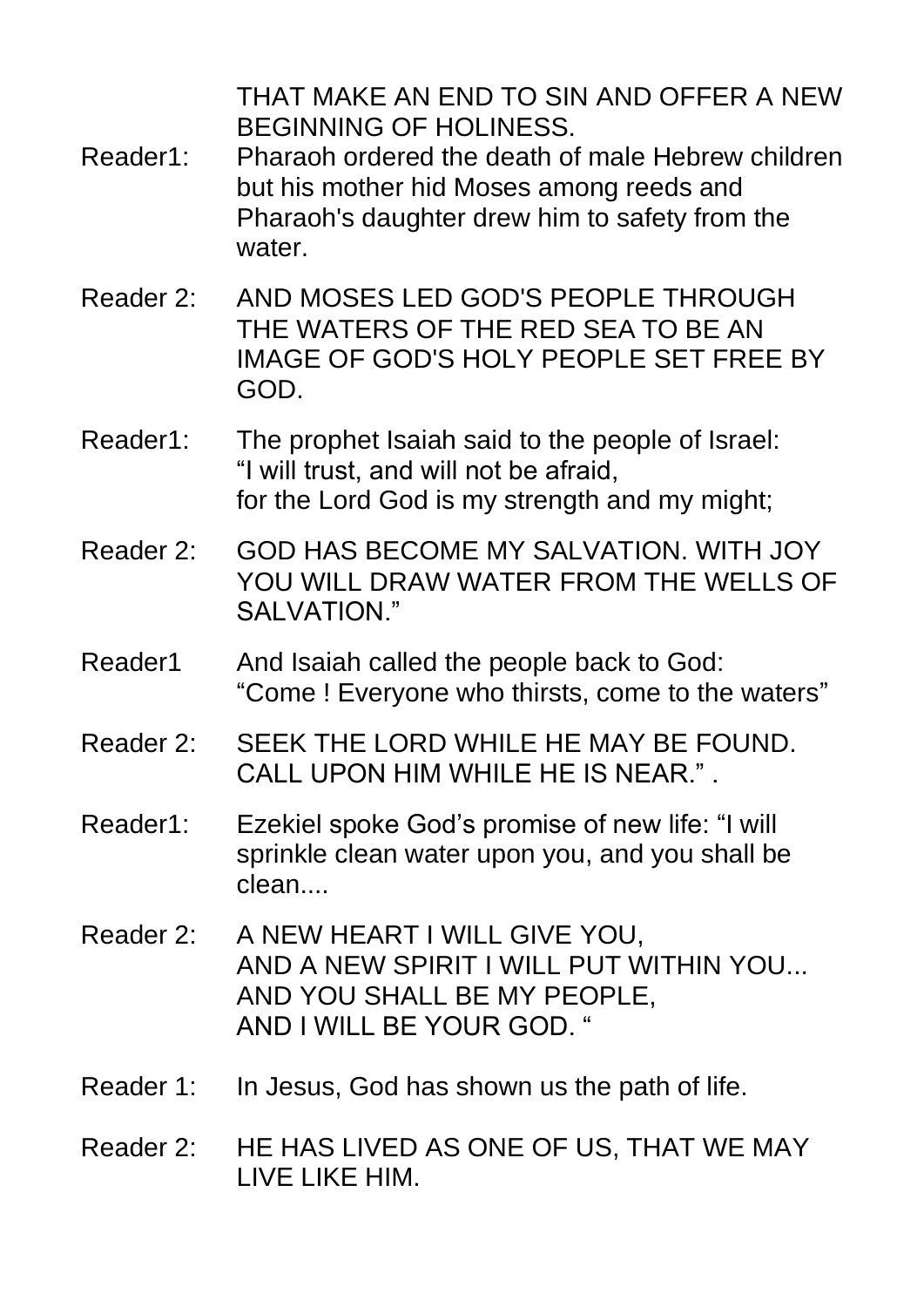THAT MAKE AN END TO SIN AND OFFER A NEW BEGINNING OF HOLINESS.

- Reader1: Pharaoh ordered the death of male Hebrew children but his mother hid Moses among reeds and Pharaoh's daughter drew him to safety from the water
- Reader 2: AND MOSES LED GOD'S PEOPLE THROUGH THE WATERS OF THE RED SEA TO BE AN IMAGE OF GOD'S HOLY PEOPLE SET FREE BY GOD.
- Reader1: The prophet Isaiah said to the people of Israel: "I will trust, and will not be afraid, for the Lord God is my strength and my might;
- Reader 2: GOD HAS BECOME MY SALVATION. WITH JOY YOU WILL DRAW WATER FROM THE WELLS OF SAI VATION"
- Reader1 And Isaiah called the people back to God: "Come ! Everyone who thirsts, come to the waters"
- Reader 2: SEEK THE LORD WHILE HE MAY BE FOUND. CALL UPON HIM WHILE HE IS NEAR."
- Reader1: Ezekiel spoke God's promise of new life: "I will sprinkle clean water upon you, and you shall be clean....
- Reader 2: A NEW HEART I WILL GIVE YOU, AND A NEW SPIRIT I WILL PUT WITHIN YOU... AND YOU SHALL BE MY PEOPLE, AND I WILL BE YOUR GOD. "
- Reader 1: In Jesus, God has shown us the path of life.
- Reader 2: HE HAS LIVED AS ONE OF US, THAT WE MAY LIVE LIKE HIM.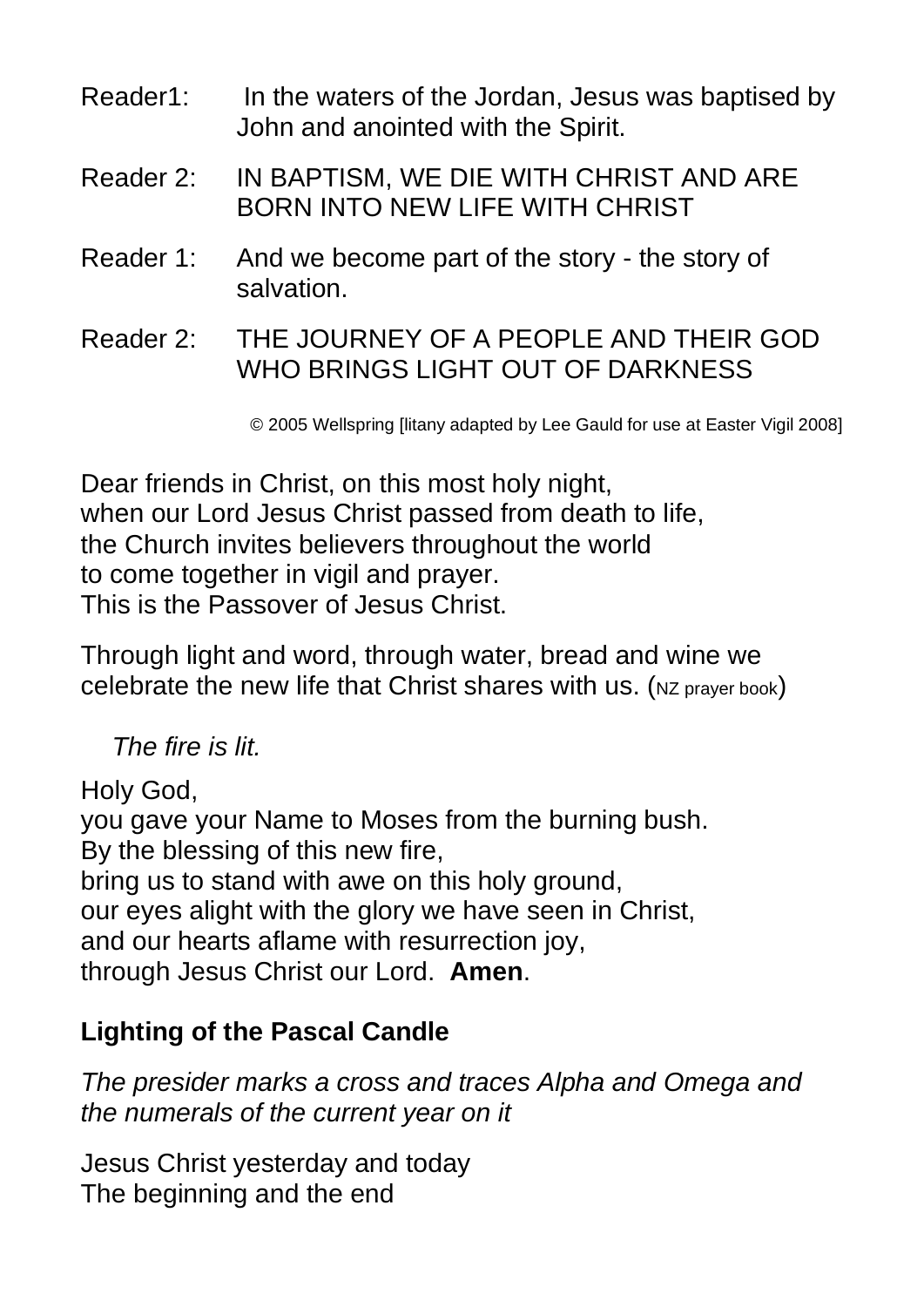| Reader1:  | In the waters of the Jordan, Jesus was baptised by<br>John and anointed with the Spirit. |
|-----------|------------------------------------------------------------------------------------------|
| Reader 2: | IN BAPTISM, WE DIE WITH CHRIST AND ARE                                                   |

BORN INTO NEW LIFE WITH CHRIST

Reader 1: And we become part of the story - the story of salvation.

Reader 2: THE JOURNEY OF A PEOPLE AND THEIR GOD WHO BRINGS LIGHT OUT OF DARKNESS

© 2005 Wellspring [litany adapted by Lee Gauld for use at Easter Vigil 2008]

Dear friends in Christ, on this most holy night, when our Lord Jesus Christ passed from death to life, the Church invites believers throughout the world to come together in vigil and prayer. This is the Passover of Jesus Christ.

Through light and word, through water, bread and wine we celebrate the new life that Christ shares with us. (NZ prayer book)

#### *The fire is lit.*

Holy God,

you gave your Name to Moses from the burning bush. By the blessing of this new fire, bring us to stand with awe on this holy ground, our eyes alight with the glory we have seen in Christ, and our hearts aflame with resurrection joy, through Jesus Christ our Lord. **Amen**.

### **Lighting of the Pascal Candle**

*The presider marks a cross and traces Alpha and Omega and the numerals of the current year on it*

Jesus Christ yesterday and today The beginning and the end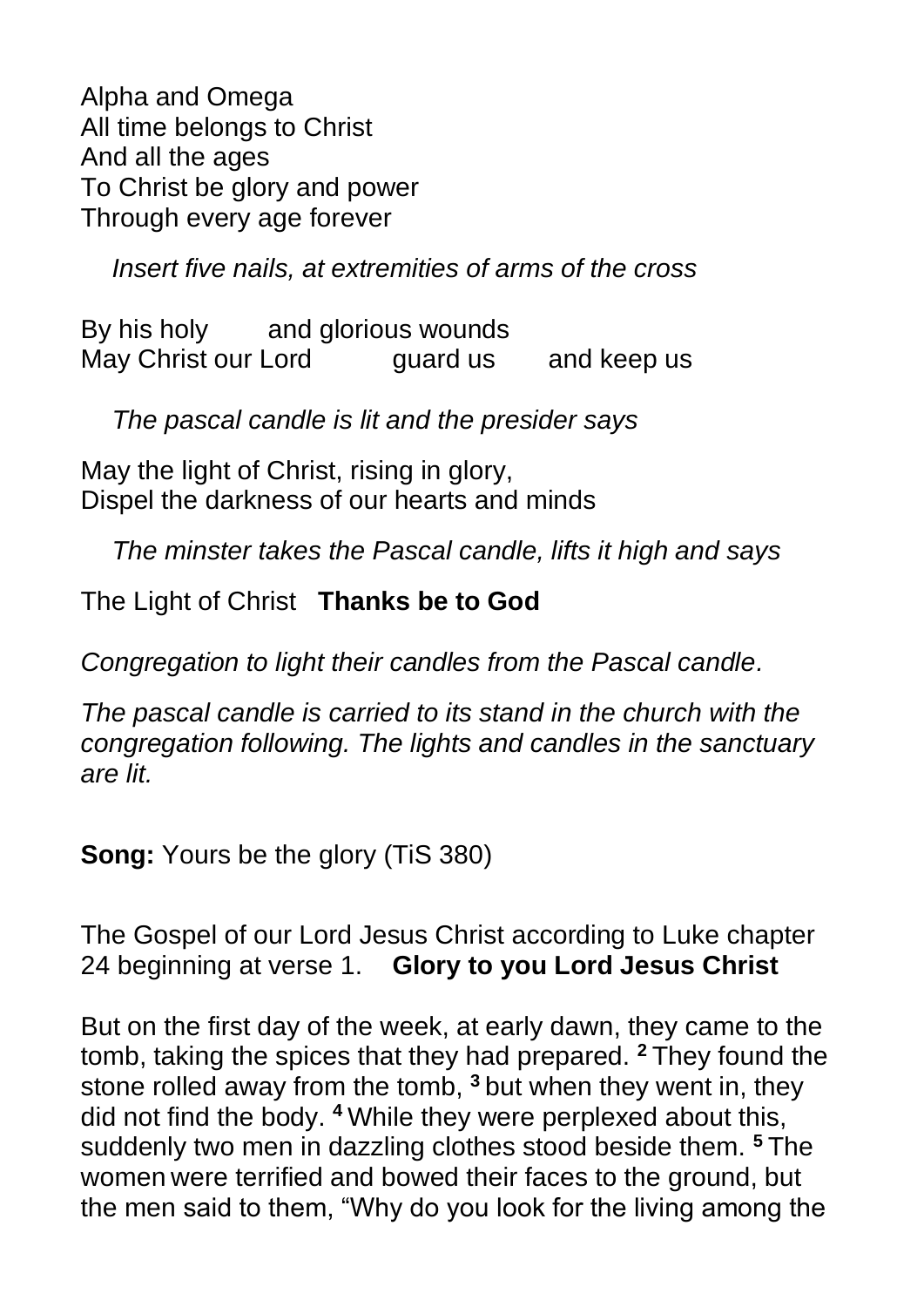Alpha and Omega All time belongs to Christ And all the ages To Christ be glory and power Through every age forever

*Insert five nails, at extremities of arms of the cross*

By his holy and glorious wounds May Christ our Lord guard us and keep us

*The pascal candle is lit and the presider says*

May the light of Christ, rising in glory, Dispel the darkness of our hearts and minds

*The minster takes the Pascal candle, lifts it high and says*

The Light of Christ **Thanks be to God**

*Congregation to light their candles from the Pascal candle.*

*The pascal candle is carried to its stand in the church with the congregation following. The lights and candles in the sanctuary are lit.*

**Song:** Yours be the glory (TiS 380)

The Gospel of our Lord Jesus Christ according to Luke chapter 24 beginning at verse 1. **Glory to you Lord Jesus Christ** 

But on the first day of the week, at early dawn, they came to the tomb, taking the spices that they had prepared. **<sup>2</sup>** They found the stone rolled away from the tomb, **<sup>3</sup>** but when they went in, they did not find the body. **<sup>4</sup>** While they were perplexed about this, suddenly two men in dazzling clothes stood beside them. **<sup>5</sup>** The women were terrified and bowed their faces to the ground, but the men said to them, "Why do you look for the living among the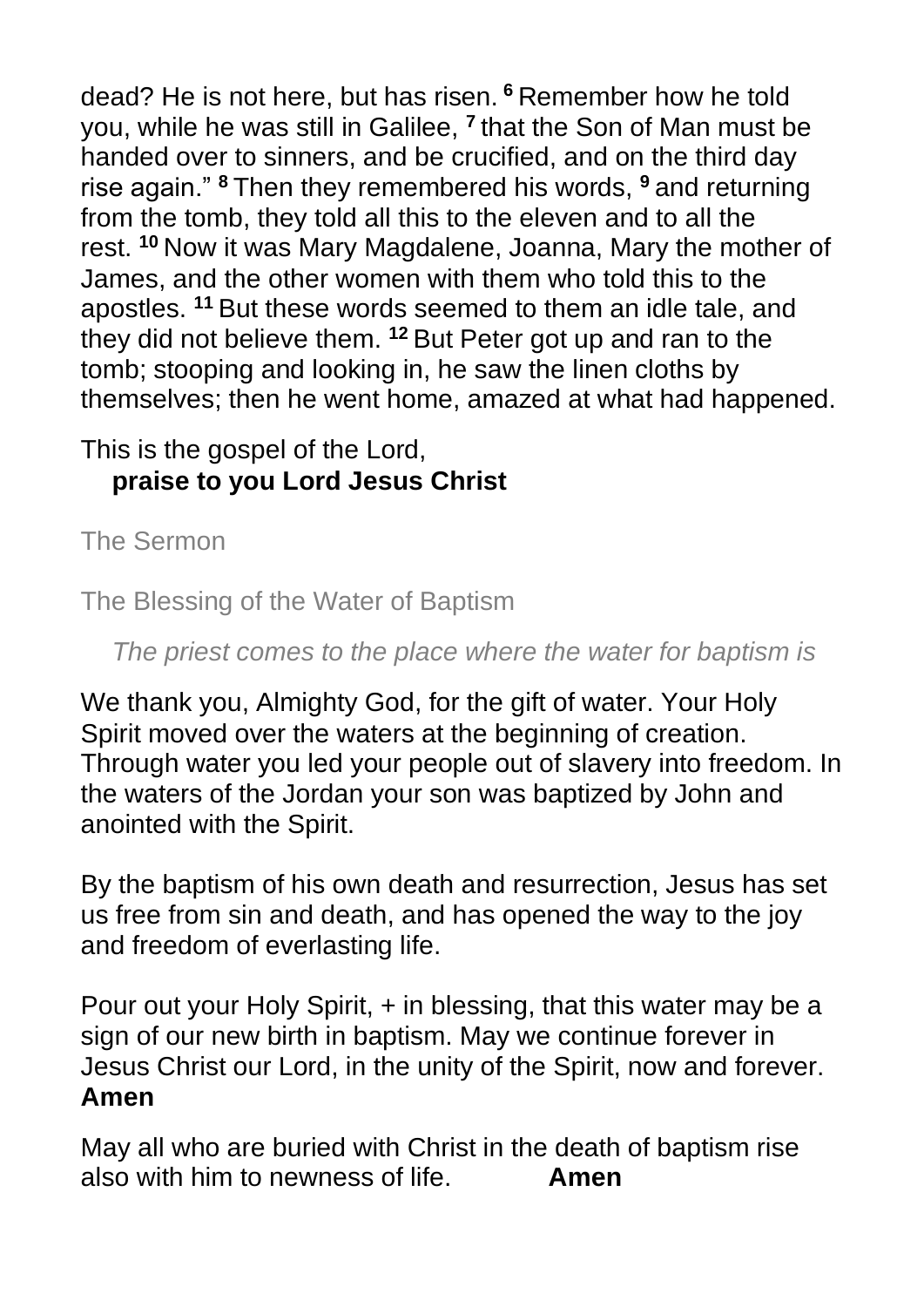dead? He is not here, but has risen. **<sup>6</sup>** Remember how he told you, while he was still in Galilee, **<sup>7</sup>** that the Son of Man must be handed over to sinners, and be crucified, and on the third day rise again." **<sup>8</sup>** Then they remembered his words, **<sup>9</sup>** and returning from the tomb, they told all this to the eleven and to all the rest. **<sup>10</sup>** Now it was Mary Magdalene, Joanna, Mary the mother of James, and the other women with them who told this to the apostles. **<sup>11</sup>** But these words seemed to them an idle tale, and they did not believe them. **<sup>12</sup>** But Peter got up and ran to the tomb; stooping and looking in, he saw the linen cloths by themselves; then he went home, amazed at what had happened.

### This is the gospel of the Lord, **praise to you Lord Jesus Christ**

The Sermon

The Blessing of the Water of Baptism

*The priest comes to the place where the water for baptism is*

We thank you, Almighty God, for the gift of water. Your Holy Spirit moved over the waters at the beginning of creation. Through water you led your people out of slavery into freedom. In the waters of the Jordan your son was baptized by John and anointed with the Spirit.

By the baptism of his own death and resurrection, Jesus has set us free from sin and death, and has opened the way to the joy and freedom of everlasting life.

Pour out your Holy Spirit, + in blessing, that this water may be a sign of our new birth in baptism. May we continue forever in Jesus Christ our Lord, in the unity of the Spirit, now and forever. **Amen**

May all who are buried with Christ in the death of baptism rise also with him to newness of life. **Amen**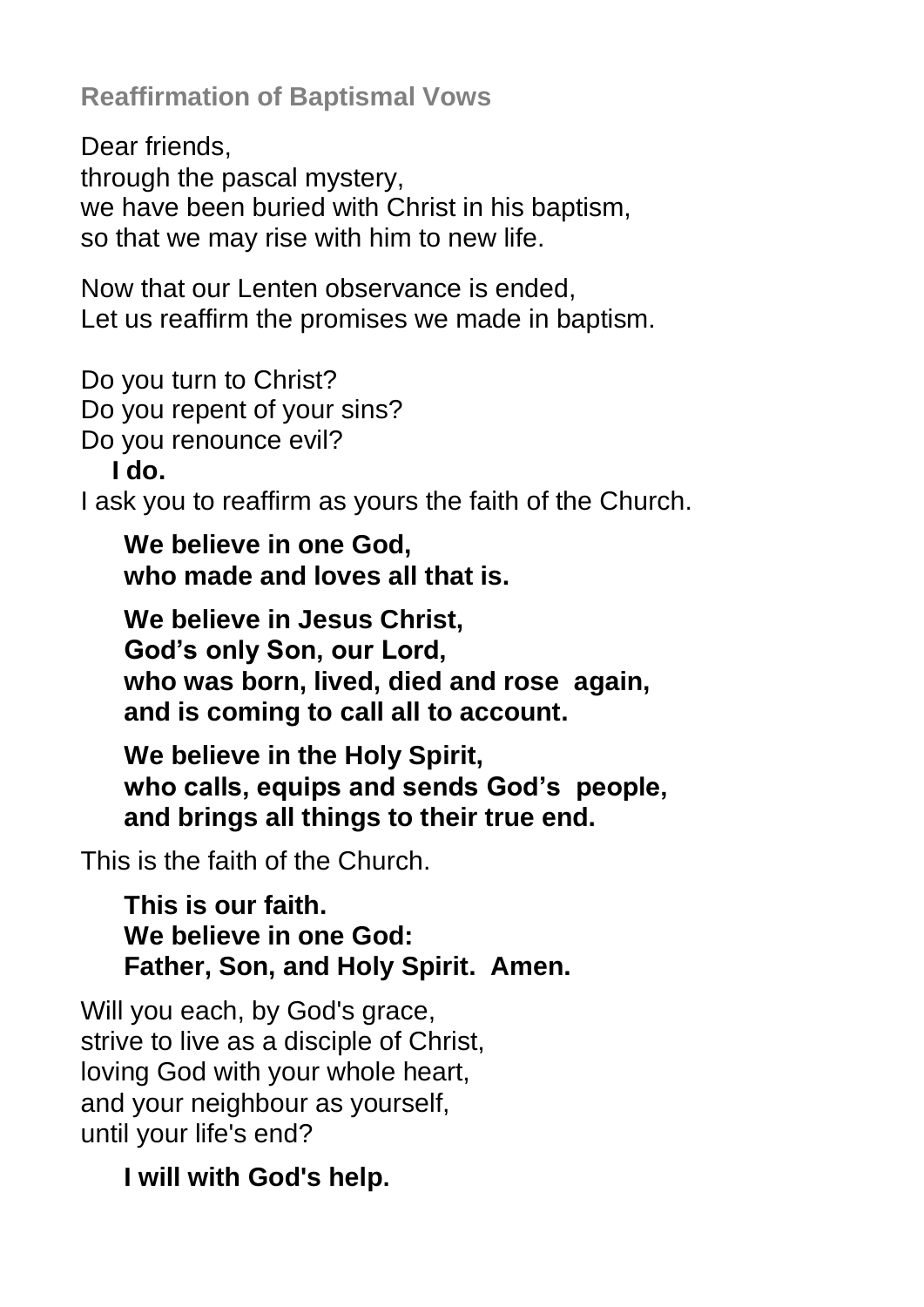**Reaffirmation of Baptismal Vows**

Dear friends, through the pascal mystery, we have been buried with Christ in his baptism, so that we may rise with him to new life.

Now that our Lenten observance is ended, Let us reaffirm the promises we made in baptism.

Do you turn to Christ? Do you repent of your sins? Do you renounce evil?

**I do.**

I ask you to reaffirm as yours the faith of the Church.

**We believe in one God, who made and loves all that is.**

**We believe in Jesus Christ, God's only Son, our Lord, who was born, lived, died and rose again, and is coming to call all to account.**

**We believe in the Holy Spirit, who calls, equips and sends God's people, and brings all things to their true end.**

This is the faith of the Church.

**This is our faith. We believe in one God: Father, Son, and Holy Spirit. Amen.**

Will you each, by God's grace, strive to live as a disciple of Christ, loving God with your whole heart, and your neighbour as yourself, until your life's end?

### **I will with God's help.**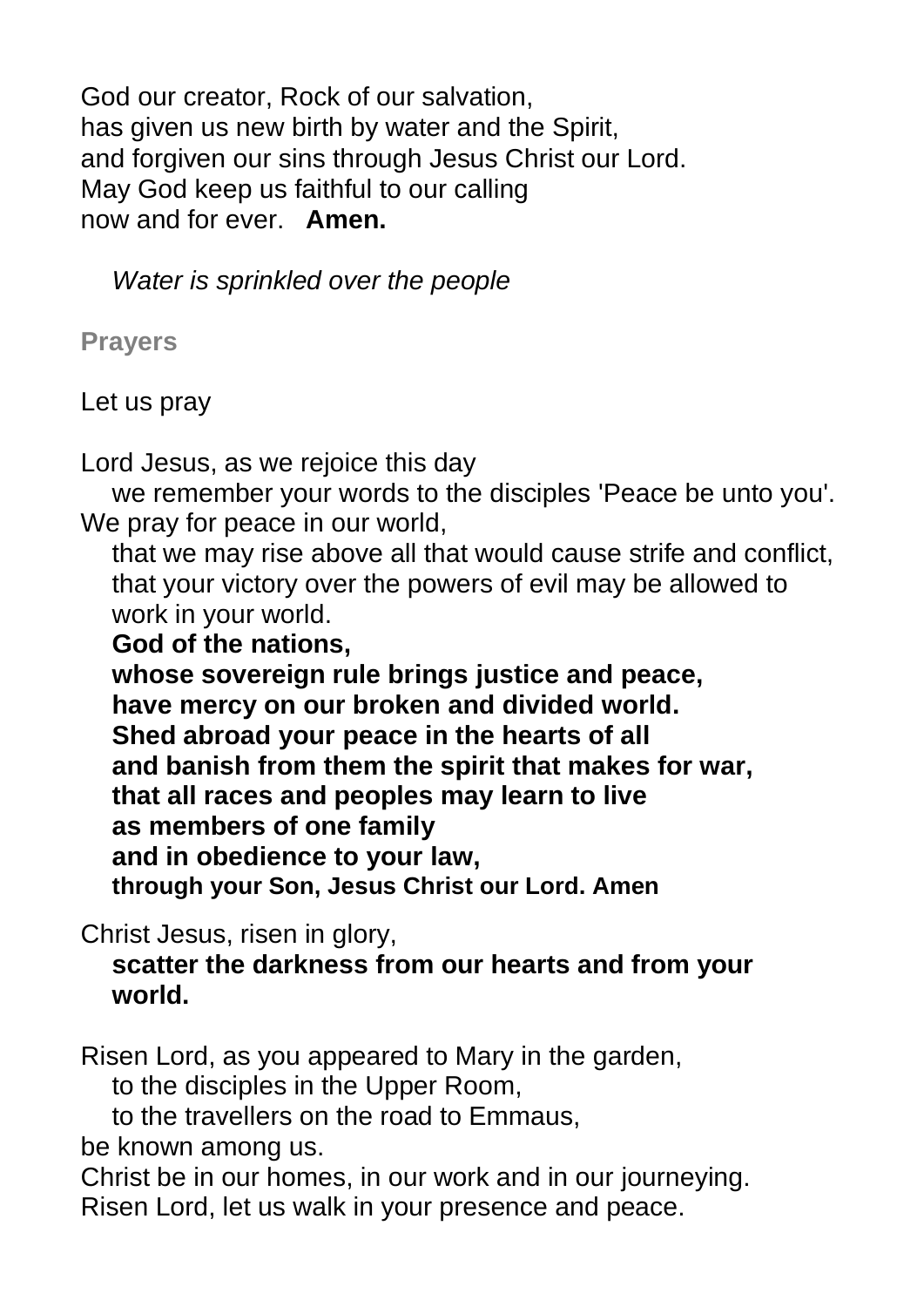God our creator, Rock of our salvation, has given us new birth by water and the Spirit, and forgiven our sins through Jesus Christ our Lord. May God keep us faithful to our calling now and for ever. **Amen.**

*Water is sprinkled over the people*

**Prayers**

Let us pray

Lord Jesus, as we rejoice this day

we remember your words to the disciples 'Peace be unto you'. We pray for peace in our world.

that we may rise above all that would cause strife and conflict, that your victory over the powers of evil may be allowed to work in your world.

**God of the nations,** 

**whose sovereign rule brings justice and peace, have mercy on our broken and divided world. Shed abroad your peace in the hearts of all and banish from them the spirit that makes for war, that all races and peoples may learn to live as members of one family and in obedience to your law, through your Son, Jesus Christ our Lord. Amen**

Christ Jesus, risen in glory,

**scatter the darkness from our hearts and from your world.**

Risen Lord, as you appeared to Mary in the garden,

to the disciples in the Upper Room,

to the travellers on the road to Emmaus,

be known among us.

Christ be in our homes, in our work and in our journeying. Risen Lord, let us walk in your presence and peace.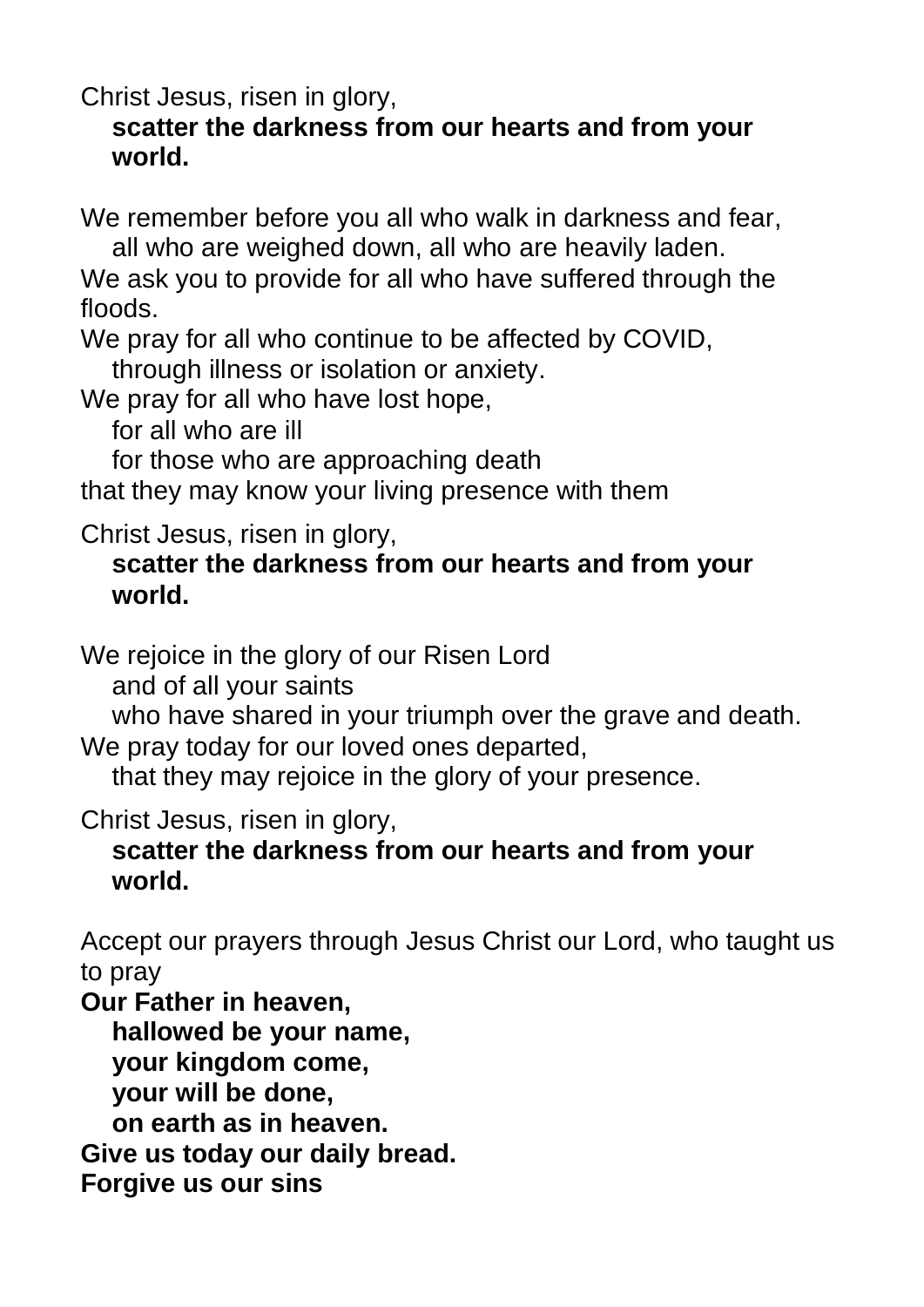Christ Jesus, risen in glory,

#### **scatter the darkness from our hearts and from your world.**

We remember before you all who walk in darkness and fear, all who are weighed down, all who are heavily laden.

We ask you to provide for all who have suffered through the floods.

We pray for all who continue to be affected by COVID,

through illness or isolation or anxiety.

We pray for all who have lost hope,

for all who are ill

for those who are approaching death

that they may know your living presence with them

Christ Jesus, risen in glory,

#### **scatter the darkness from our hearts and from your world.**

We rejoice in the glory of our Risen Lord

and of all your saints

who have shared in your triumph over the grave and death.

We pray today for our loved ones departed.

that they may rejoice in the glory of your presence.

Christ Jesus, risen in glory,

#### **scatter the darkness from our hearts and from your world.**

Accept our prayers through Jesus Christ our Lord, who taught us to pray

**Our Father in heaven,**

**hallowed be your name,**

**your kingdom come,**

**your will be done,**

**on earth as in heaven.**

**Give us today our daily bread.**

**Forgive us our sins**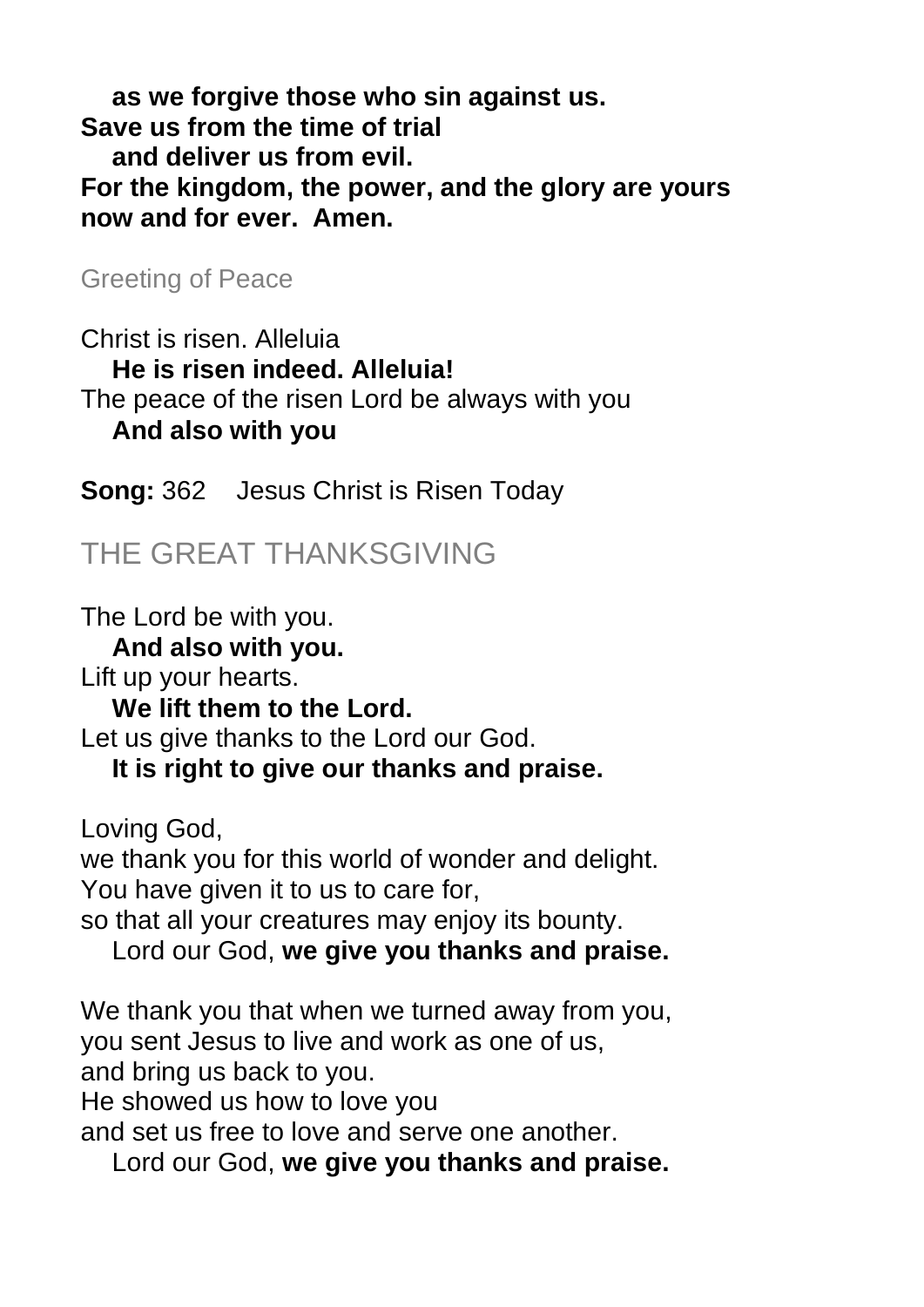**as we forgive those who sin against us. Save us from the time of trial and deliver us from evil. For the kingdom, the power, and the glory are yours now and for ever. Amen.**

Greeting of Peace

Christ is risen. Alleluia **He is risen indeed. Alleluia!** The peace of the risen Lord be always with you **And also with you**

**Song:** 362 Jesus Christ is Risen Today

## THE GREAT THANKSGIVING

The Lord be with you. **And also with you.** Lift up your hearts. **We lift them to the Lord.** Let us give thanks to the Lord our God. **It is right to give our thanks and praise.** Loving God, we thank you for this world of wonder and delight. You have given it to us to care for, so that all your creatures may enjoy its bounty. Lord our God, **we give you thanks and praise.**

We thank you that when we turned away from you, you sent Jesus to live and work as one of us, and bring us back to you. He showed us how to love you and set us free to love and serve one another.

Lord our God, **we give you thanks and praise.**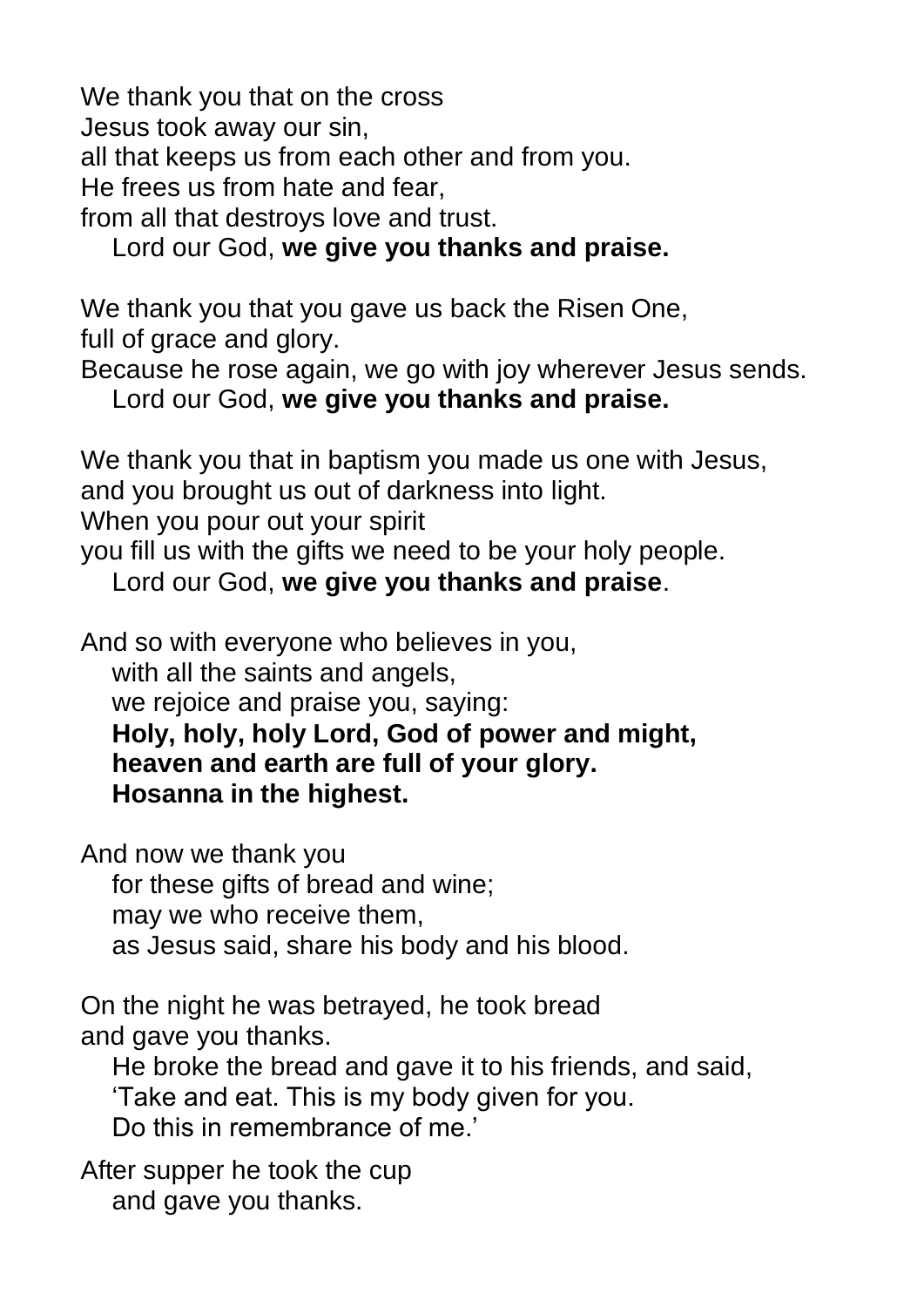We thank you that on the cross Jesus took away our sin, all that keeps us from each other and from you. He frees us from hate and fear, from all that destroys love and trust.

Lord our God, **we give you thanks and praise.**

We thank you that you gave us back the Risen One, full of grace and glory.

Because he rose again, we go with joy wherever Jesus sends. Lord our God, **we give you thanks and praise.**

We thank you that in baptism you made us one with Jesus, and you brought us out of darkness into light.

When you pour out your spirit

you fill us with the gifts we need to be your holy people.

Lord our God, **we give you thanks and praise**.

And so with everyone who believes in you,

with all the saints and angels.

we rejoice and praise you, saying:

**Holy, holy, holy Lord, God of power and might, heaven and earth are full of your glory. Hosanna in the highest.**

And now we thank you

for these gifts of bread and wine;

may we who receive them,

as Jesus said, share his body and his blood.

On the night he was betrayed, he took bread and gave you thanks.

He broke the bread and gave it to his friends, and said, 'Take and eat. This is my body given for you. Do this in remembrance of me'

After supper he took the cup and gave you thanks.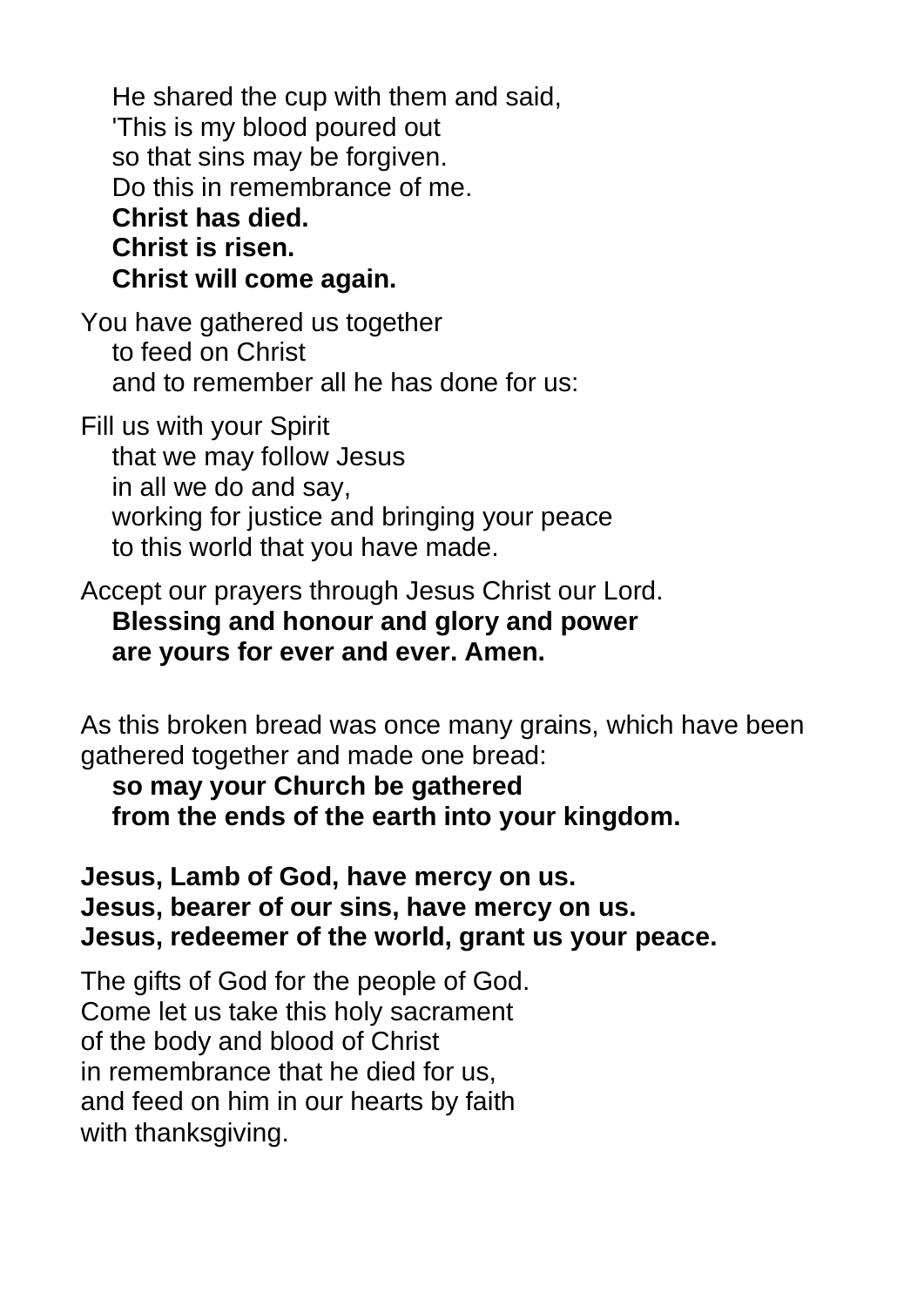He shared the cup with them and said, 'This is my blood poured out so that sins may be forgiven. Do this in remembrance of me. **Christ has died. Christ is risen. Christ will come again.**

You have gathered us together to feed on Christ and to remember all he has done for us:

Fill us with your Spirit that we may follow Jesus in all we do and say, working for justice and bringing your peace to this world that you have made.

Accept our prayers through Jesus Christ our Lord. **Blessing and honour and glory and power are yours for ever and ever. Amen.**

As this broken bread was once many grains, which have been gathered together and made one bread:

**so may your Church be gathered from the ends of the earth into your kingdom.**

**Jesus, Lamb of God, have mercy on us. Jesus, bearer of our sins, have mercy on us. Jesus, redeemer of the world, grant us your peace.**

The gifts of God for the people of God. Come let us take this holy sacrament of the body and blood of Christ in remembrance that he died for us, and feed on him in our hearts by faith with thanksgiving.